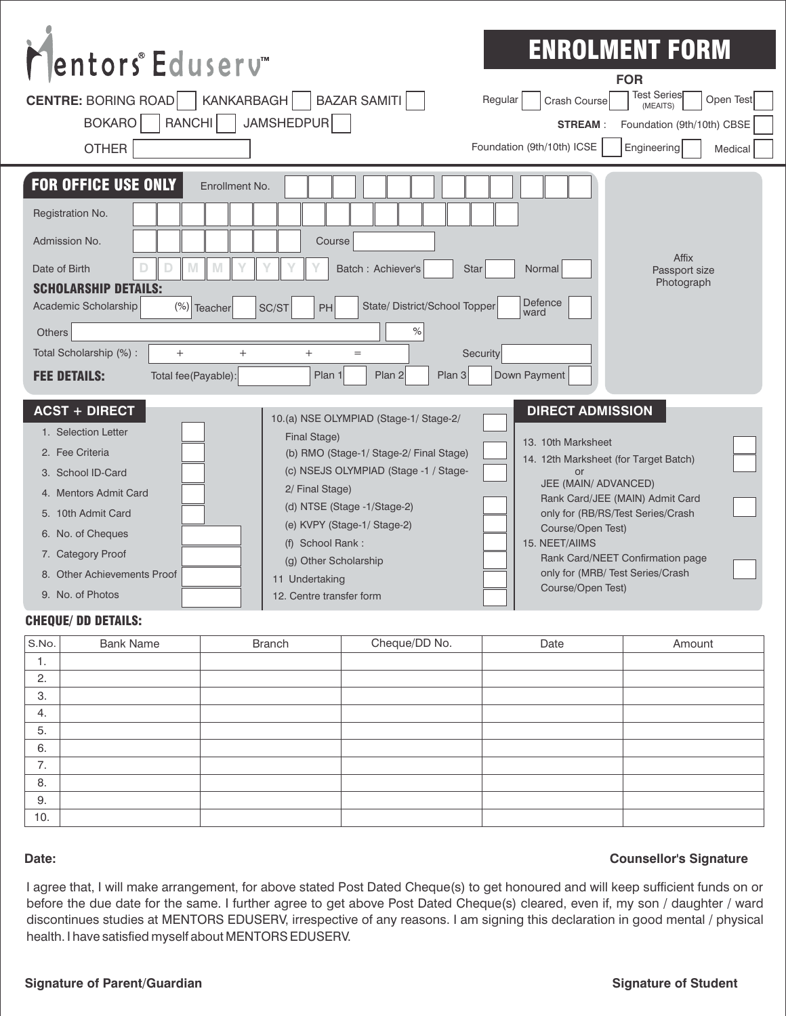| Mentors®Eduserv<br>KANKARBAGH<br><b>CENTRE: BORING ROAD</b><br><b>RANCHI</b><br><b>BOKARO</b><br><b>OTHER</b>                                                                                                                                                                           | BAZAR SAMITI<br>Regular<br>JAMSHEDPUR                                                                                                                                                                                                                                                                                  | <b>ENROLMENT FORM</b><br><b>FOR</b><br><b>Test Series</b><br>Open Test<br>Crash Course<br>(MEAITS)<br><b>STREAM:</b><br>Foundation (9th/10th) CBSE<br>Foundation (9th/10th) ICSE<br>Engineering<br>Medical                                                                                                                       |
|-----------------------------------------------------------------------------------------------------------------------------------------------------------------------------------------------------------------------------------------------------------------------------------------|------------------------------------------------------------------------------------------------------------------------------------------------------------------------------------------------------------------------------------------------------------------------------------------------------------------------|----------------------------------------------------------------------------------------------------------------------------------------------------------------------------------------------------------------------------------------------------------------------------------------------------------------------------------|
| <b>FOR OFFICE USE ONLY</b><br>Enrollment No.<br>Registration No.<br>Admission No.<br>Date of Birth<br>M<br>D<br><b>SCHOLARSHIP DETAILS:</b><br>Academic Scholarship<br>(%) Teacher<br>Others<br>Total Scholarship (%) :<br>$^{+}$<br>$^+$<br><b>FEE DETAILS:</b><br>Total fee(Payable): | Course<br>Batch: Achiever's<br><b>Star</b><br>State/ District/School Topper<br>SC/ST<br><b>PH</b><br>℅<br>Security<br>$^{+}$<br>$=$<br>Plan 1<br>Plan 2<br>Plan 3                                                                                                                                                      | Affix<br>Normal<br>Passport size<br>Photograph<br>Defence<br>ward<br>Down Payment                                                                                                                                                                                                                                                |
| <b>ACST + DIRECT</b><br>1. Selection Letter<br>2. Fee Criteria<br>3. School ID-Card<br>4. Mentors Admit Card<br>5. 10th Admit Card<br>6. No. of Cheques<br>7. Category Proof<br>8. Other Achievements Proof<br>9. No. of Photos                                                         | 10.(a) NSE OLYMPIAD (Stage-1/ Stage-2/<br>Final Stage)<br>(b) RMO (Stage-1/ Stage-2/ Final Stage)<br>(c) NSEJS OLYMPIAD (Stage -1 / Stage-<br>2/ Final Stage)<br>(d) NTSE (Stage -1/Stage-2)<br>(e) KVPY (Stage-1/ Stage-2)<br>(f) School Rank:<br>(g) Other Scholarship<br>11 Undertaking<br>12. Centre transfer form | <b>DIRECT ADMISSION</b><br>13. 10th Marksheet<br>14. 12th Marksheet (for Target Batch)<br>or<br>JEE (MAIN/ ADVANCED)<br>Rank Card/JEE (MAIN) Admit Card<br>only for (RB/RS/Test Series/Crash<br>Course/Open Test)<br>15. NEET/AIIMS<br>Rank Card/NEET Confirmation page<br>only for (MRB/ Test Series/Crash<br>Course/Open Test) |

### CHEQUE/ DD DETAILS:

| S.No. | <b>Bank Name</b> | <b>Branch</b> | Cheque/DD No. | Date | Amount |
|-------|------------------|---------------|---------------|------|--------|
| л.    |                  |               |               |      |        |
| 2.    |                  |               |               |      |        |
| 3.    |                  |               |               |      |        |
| 4.    |                  |               |               |      |        |
| 5.    |                  |               |               |      |        |
| 6.    |                  |               |               |      |        |
| 7.    |                  |               |               |      |        |
| 8.    |                  |               |               |      |        |
| 9.    |                  |               |               |      |        |
| 10.   |                  |               |               |      |        |

#### **Date:**

## **Counsellor's Signature**

I agree that, I will make arrangement, for above stated Post Dated Cheque(s) to get honoured and will keep sufficient funds on or before the due date for the same. I further agree to get above Post Dated Cheque(s) cleared, even if, my son / daughter / ward discontinues studies at MENTORS EDUSERV, irrespective of any reasons. I am signing this declaration in good mental / physical health. I have satisfied myself about MENTORS EDUSERV.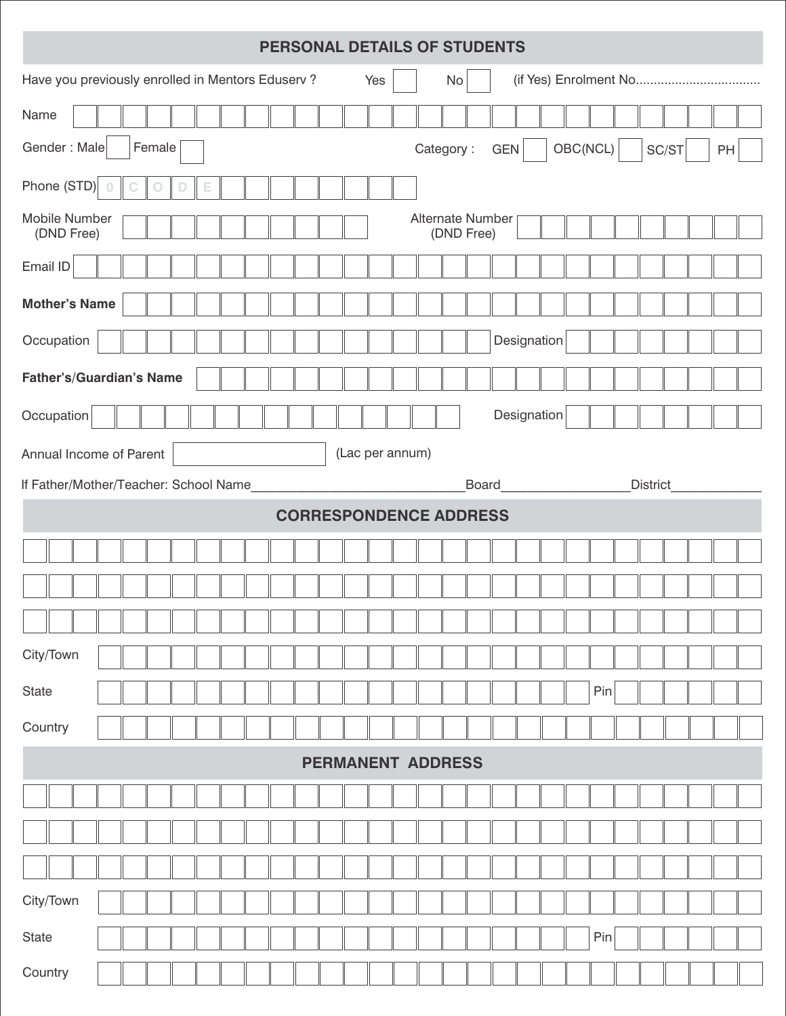| PERSONAL DETAILS OF STUDENTS                                       |                          |                                       |  |  |  |  |
|--------------------------------------------------------------------|--------------------------|---------------------------------------|--|--|--|--|
| Have you previously enrolled in Mentors Eduserv?                   | No<br>Yes                |                                       |  |  |  |  |
| Name                                                               |                          |                                       |  |  |  |  |
| Gender: Male<br>Female                                             | Category:                | OBC(NCL)<br>SC/ST<br><b>GEN</b><br>PH |  |  |  |  |
| Phone (STD)<br>$\circ$<br>$\bigcirc$<br>$\Box$<br>$\mathbb C$<br>Е |                          |                                       |  |  |  |  |
| Mobile Number<br>Alternate Number<br>(DND Free)<br>(DND Free)      |                          |                                       |  |  |  |  |
| Email ID                                                           |                          |                                       |  |  |  |  |
| <b>Mother's Name</b>                                               |                          |                                       |  |  |  |  |
| Occupation                                                         |                          | Designation                           |  |  |  |  |
| Father's/Guardian's Name                                           |                          |                                       |  |  |  |  |
| Occupation                                                         |                          | Designation                           |  |  |  |  |
| Annual Income of Parent                                            | (Lac per annum)          |                                       |  |  |  |  |
| If Father/Mother/Teacher: School Name                              | <b>Board</b>             | <b>District</b>                       |  |  |  |  |
| <b>CORRESPONDENCE ADDRESS</b>                                      |                          |                                       |  |  |  |  |
|                                                                    |                          |                                       |  |  |  |  |
|                                                                    |                          |                                       |  |  |  |  |
|                                                                    |                          |                                       |  |  |  |  |
| City/Town                                                          |                          |                                       |  |  |  |  |
| State                                                              |                          | Pin                                   |  |  |  |  |
| Country                                                            |                          |                                       |  |  |  |  |
|                                                                    |                          |                                       |  |  |  |  |
|                                                                    | <b>PERMANENT ADDRESS</b> |                                       |  |  |  |  |
|                                                                    |                          |                                       |  |  |  |  |
|                                                                    |                          |                                       |  |  |  |  |
|                                                                    |                          |                                       |  |  |  |  |
| City/Town                                                          |                          |                                       |  |  |  |  |
| State                                                              |                          | Pin                                   |  |  |  |  |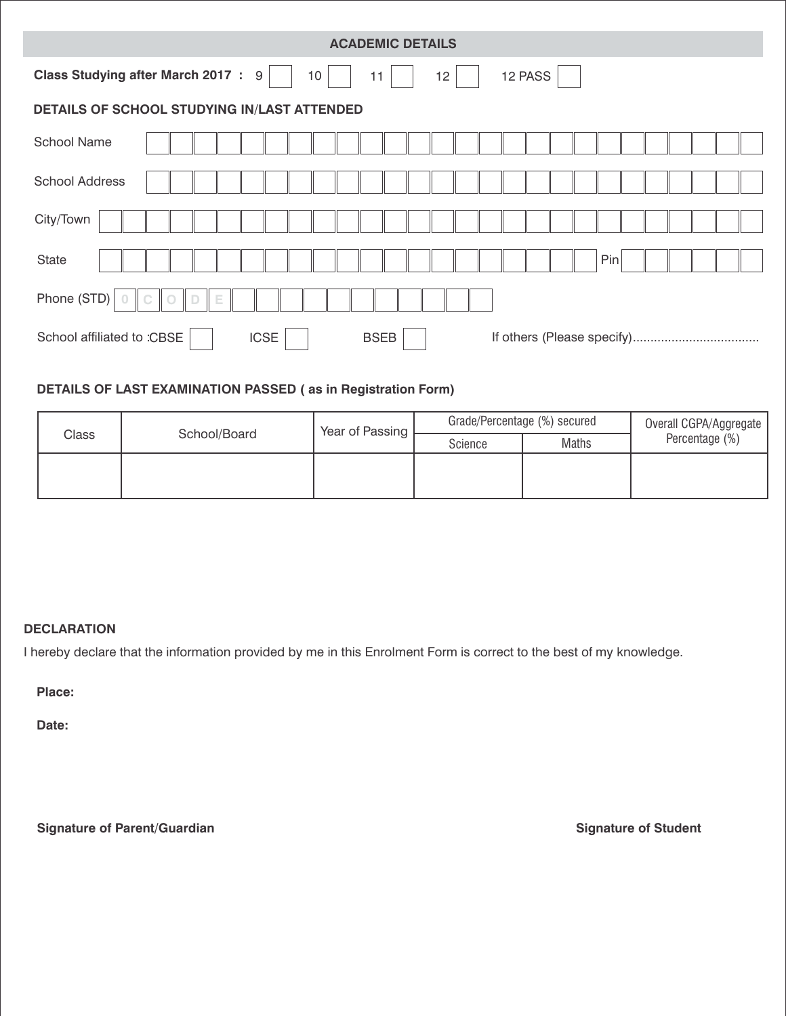| <b>ACADEMIC DETAILS</b>                                                                          |  |  |  |  |  |
|--------------------------------------------------------------------------------------------------|--|--|--|--|--|
| <b>Class Studying after March 2017: 9</b><br>12 PASS<br>10 <sup>°</sup><br>12 <sup>2</sup><br>11 |  |  |  |  |  |
| DETAILS OF SCHOOL STUDYING IN/LAST ATTENDED                                                      |  |  |  |  |  |
| <b>School Name</b>                                                                               |  |  |  |  |  |
| <b>School Address</b>                                                                            |  |  |  |  |  |
| City/Town                                                                                        |  |  |  |  |  |
| Pin<br><b>State</b>                                                                              |  |  |  |  |  |
| Phone (STD)<br>$\bigcirc$<br>$\Box$<br>Е<br>$\circ$                                              |  |  |  |  |  |
| School affiliated to :CBSE<br><b>ICSE</b><br><b>BSEB</b>                                         |  |  |  |  |  |

# **DETAILS OF LAST EXAMINATION PASSED ( as in Registration Form)**

| Class | School/Board | Year of Passing | Grade/Percentage (%) secured |       | Overall CGPA/Aggregate |
|-------|--------------|-----------------|------------------------------|-------|------------------------|
|       |              |                 | Science                      | Maths | Percentage (%)         |
|       |              |                 |                              |       |                        |
|       |              |                 |                              |       |                        |

# **DECLARATION**

I hereby declare that the information provided by me in this Enrolment Form is correct to the best of my knowledge.

**Place:**

**Date:**

**Signature of Parent/Guardian Signature of Student**